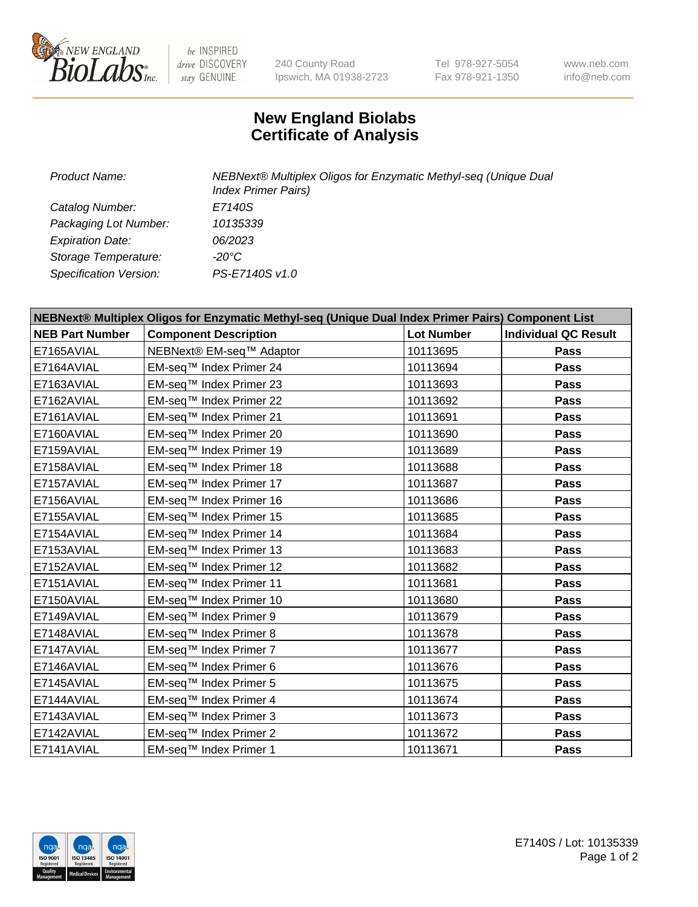

 $be$  INSPIRED drive DISCOVERY stay GENUINE

240 County Road Ipswich, MA 01938-2723 Tel 978-927-5054 Fax 978-921-1350 www.neb.com info@neb.com

## **New England Biolabs Certificate of Analysis**

| Product Name:           | NEBNext® Multiplex Oligos for Enzymatic Methyl-seq (Unique Dual<br><b>Index Primer Pairs)</b> |  |  |
|-------------------------|-----------------------------------------------------------------------------------------------|--|--|
| Catalog Number:         | E7140S                                                                                        |  |  |
| Packaging Lot Number:   | 10135339                                                                                      |  |  |
| <b>Expiration Date:</b> | 06/2023                                                                                       |  |  |
| Storage Temperature:    | -20°C                                                                                         |  |  |
| Specification Version:  | PS-E7140S v1.0                                                                                |  |  |

| NEBNext® Multiplex Oligos for Enzymatic Methyl-seq (Unique Dual Index Primer Pairs) Component List |                              |                   |                             |  |
|----------------------------------------------------------------------------------------------------|------------------------------|-------------------|-----------------------------|--|
| <b>NEB Part Number</b>                                                                             | <b>Component Description</b> | <b>Lot Number</b> | <b>Individual QC Result</b> |  |
| E7165AVIAL                                                                                         | NEBNext® EM-seq™ Adaptor     | 10113695          | Pass                        |  |
| E7164AVIAL                                                                                         | EM-seq™ Index Primer 24      | 10113694          | <b>Pass</b>                 |  |
| E7163AVIAL                                                                                         | EM-seq™ Index Primer 23      | 10113693          | Pass                        |  |
| E7162AVIAL                                                                                         | EM-seq™ Index Primer 22      | 10113692          | <b>Pass</b>                 |  |
| E7161AVIAL                                                                                         | EM-seq™ Index Primer 21      | 10113691          | Pass                        |  |
| E7160AVIAL                                                                                         | EM-seq™ Index Primer 20      | 10113690          | Pass                        |  |
| E7159AVIAL                                                                                         | EM-seq™ Index Primer 19      | 10113689          | <b>Pass</b>                 |  |
| E7158AVIAL                                                                                         | EM-seq™ Index Primer 18      | 10113688          | <b>Pass</b>                 |  |
| E7157AVIAL                                                                                         | EM-seq™ Index Primer 17      | 10113687          | Pass                        |  |
| E7156AVIAL                                                                                         | EM-seq™ Index Primer 16      | 10113686          | <b>Pass</b>                 |  |
| E7155AVIAL                                                                                         | EM-seq™ Index Primer 15      | 10113685          | Pass                        |  |
| E7154AVIAL                                                                                         | EM-seq™ Index Primer 14      | 10113684          | <b>Pass</b>                 |  |
| E7153AVIAL                                                                                         | EM-seq™ Index Primer 13      | 10113683          | <b>Pass</b>                 |  |
| E7152AVIAL                                                                                         | EM-seq™ Index Primer 12      | 10113682          | Pass                        |  |
| E7151AVIAL                                                                                         | EM-seq™ Index Primer 11      | 10113681          | <b>Pass</b>                 |  |
| E7150AVIAL                                                                                         | EM-seq™ Index Primer 10      | 10113680          | <b>Pass</b>                 |  |
| E7149AVIAL                                                                                         | EM-seq™ Index Primer 9       | 10113679          | Pass                        |  |
| E7148AVIAL                                                                                         | EM-seq™ Index Primer 8       | 10113678          | Pass                        |  |
| E7147AVIAL                                                                                         | EM-seq™ Index Primer 7       | 10113677          | <b>Pass</b>                 |  |
| E7146AVIAL                                                                                         | EM-seq™ Index Primer 6       | 10113676          | <b>Pass</b>                 |  |
| E7145AVIAL                                                                                         | EM-seq™ Index Primer 5       | 10113675          | <b>Pass</b>                 |  |
| E7144AVIAL                                                                                         | EM-seq™ Index Primer 4       | 10113674          | Pass                        |  |
| E7143AVIAL                                                                                         | EM-seq™ Index Primer 3       | 10113673          | Pass                        |  |
| E7142AVIAL                                                                                         | EM-seq™ Index Primer 2       | 10113672          | <b>Pass</b>                 |  |
| E7141AVIAL                                                                                         | EM-seq™ Index Primer 1       | 10113671          | Pass                        |  |